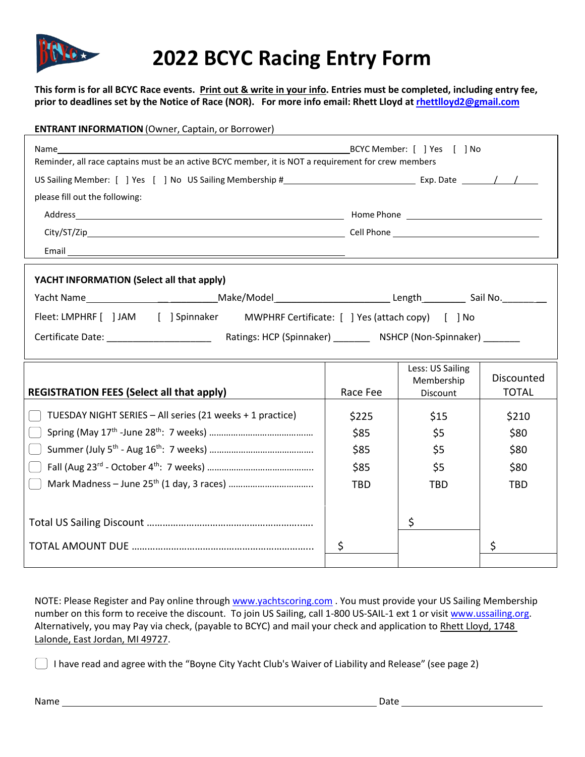

## **2022 BCYC Racing Entry Form**

**This form is for all BCYC Race events. Print out & write in your info. Entries must be completed, including entry fee, prior to deadlines set by the Notice of Race (NOR). For more info email: Rhett Lloyd a[t rhettlloyd2@gmail.com](mailto:rhettlloyd2@gmail.com)**

| <b>ENTRANT INFORMATION</b> (Owner, Captain, or Borrower)                                            |    |            |                                |              |
|-----------------------------------------------------------------------------------------------------|----|------------|--------------------------------|--------------|
|                                                                                                     |    |            |                                |              |
| Reminder, all race captains must be an active BCYC member, it is NOT a requirement for crew members |    |            |                                |              |
|                                                                                                     |    |            |                                |              |
| please fill out the following:                                                                      |    |            |                                |              |
|                                                                                                     |    |            |                                |              |
|                                                                                                     |    |            |                                |              |
|                                                                                                     |    |            |                                |              |
| YACHT INFORMATION (Select all that apply)                                                           |    |            |                                |              |
|                                                                                                     |    |            |                                |              |
| Fleet: LMPHRF [ ] JAM [ ] Spinnaker MWPHRF Certificate: [ ] Yes (attach copy) [ ] No                |    |            |                                |              |
|                                                                                                     |    |            |                                |              |
|                                                                                                     |    |            |                                |              |
|                                                                                                     |    |            | Less: US Sailing<br>Membership | Discounted   |
| <b>REGISTRATION FEES (Select all that apply)</b>                                                    |    | Race Fee   | Discount                       | <b>TOTAL</b> |
| TUESDAY NIGHT SERIES - All series (21 weeks + 1 practice)                                           |    | \$225      | \$15                           | \$210        |
|                                                                                                     |    | \$85       | \$5                            | \$80         |
|                                                                                                     |    | \$85       | \$5                            | \$80         |
|                                                                                                     |    | \$85       | \$5                            | \$80         |
|                                                                                                     |    | <b>TBD</b> | <b>TBD</b>                     | <b>TBD</b>   |
|                                                                                                     |    |            |                                |              |
|                                                                                                     |    |            | \$                             |              |
|                                                                                                     | \$ |            |                                | \$           |
|                                                                                                     |    |            |                                |              |

NOTE: Please Register and Pay online through [www.yachtscoring.com](http://www.yachtscoring.com/) . You must provide your US Sailing Membership number on this form to receive the discount. To join US Sailing, call 1-800 US-SAIL-1 ext 1 or visi[t www.ussailing.org.](http://www.ussailing.org/) Alternatively, you may Pay via check, (payable to BCYC) and mail your check and application to Rhett Lloyd, 1748 Lalonde, East Jordan, MI 49727.

 $\Box$  I have read and agree with the "Boyne City Yacht Club's Waiver of Liability and Release" (see page 2)